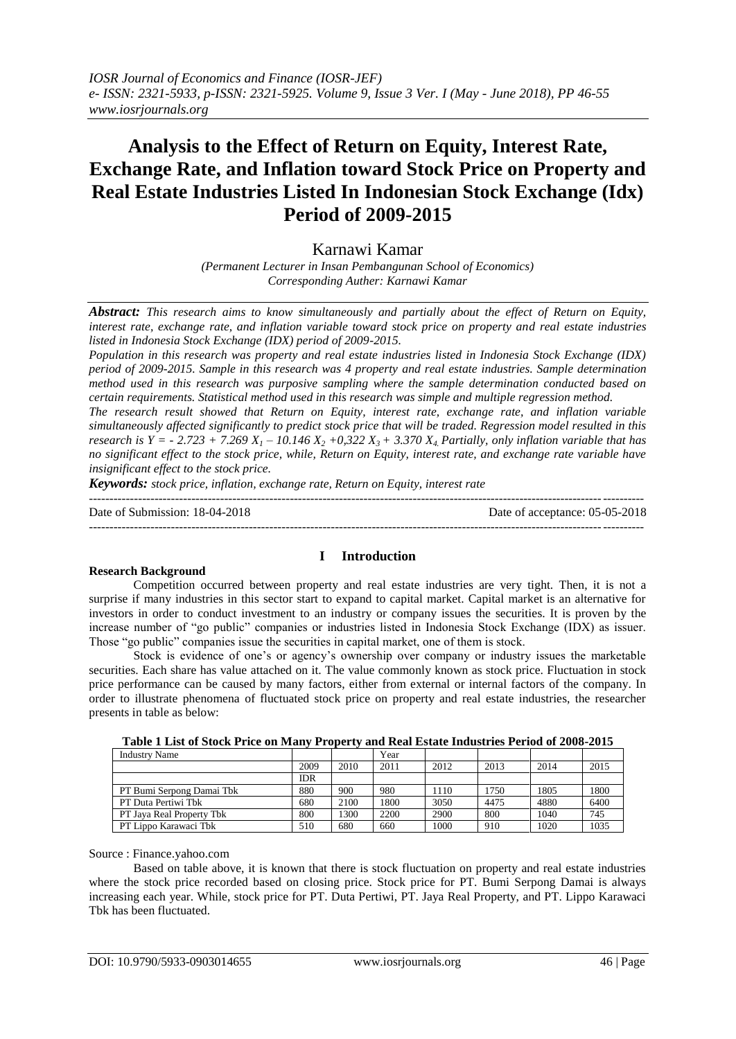# **Analysis to the Effect of Return on Equity, Interest Rate, Exchange Rate, and Inflation toward Stock Price on Property and Real Estate Industries Listed In Indonesian Stock Exchange (Idx) Period of 2009-2015**

Karnawi Kamar

*(Permanent Lecturer in Insan Pembangunan School of Economics) Corresponding Auther: Karnawi Kamar*

*Abstract: This research aims to know simultaneously and partially about the effect of Return on Equity, interest rate, exchange rate, and inflation variable toward stock price on property and real estate industries listed in Indonesia Stock Exchange (IDX) period of 2009-2015.*

*Population in this research was property and real estate industries listed in Indonesia Stock Exchange (IDX) period of 2009-2015. Sample in this research was 4 property and real estate industries. Sample determination method used in this research was purposive sampling where the sample determination conducted based on certain requirements. Statistical method used in this research was simple and multiple regression method.*

*The research result showed that Return on Equity, interest rate, exchange rate, and inflation variable simultaneously affected significantly to predict stock price that will be traded. Regression model resulted in this research is Y = - 2.723 + 7.269*  $X_1$  *– 10.146*  $X_2$  *+0,322*  $X_3$  *+ 3.370*  $X_4$  *Partially, only inflation variable that has no significant effect to the stock price, while, Return on Equity, interest rate, and exchange rate variable have insignificant effect to the stock price.*

*Keywords: stock price, inflation, exchange rate, Return on Equity, interest rate*

| Date of Submission: 18-04-2018 | Date of acceptance: 05-05-2018 |
|--------------------------------|--------------------------------|
|                                |                                |

## **Research Background**

## **I Introduction**

Competition occurred between property and real estate industries are very tight. Then, it is not a surprise if many industries in this sector start to expand to capital market. Capital market is an alternative for investors in order to conduct investment to an industry or company issues the securities. It is proven by the increase number of "go public" companies or industries listed in Indonesia Stock Exchange (IDX) as issuer. Those "go public" companies issue the securities in capital market, one of them is stock.

Stock is evidence of one's or agency's ownership over company or industry issues the marketable securities. Each share has value attached on it. The value commonly known as stock price. Fluctuation in stock price performance can be caused by many factors, either from external or internal factors of the company. In order to illustrate phenomena of fluctuated stock price on property and real estate industries, the researcher presents in table as below:

| <b>Industry Name</b>      |            |      | Year |      |      |      |      |
|---------------------------|------------|------|------|------|------|------|------|
|                           | 2009       | 2010 | 2011 | 2012 | 2013 | 2014 | 2015 |
|                           | <b>IDR</b> |      |      |      |      |      |      |
| PT Bumi Serpong Damai Tbk | 880        | 900  | 980  | 1110 | 1750 | 1805 | 1800 |
| PT Duta Pertiwi Thk       | 680        | 2100 | 1800 | 3050 | 4475 | 4880 | 6400 |
| PT Jaya Real Property Tbk | 800        | 1300 | 2200 | 2900 | 800  | 1040 | 745  |
| PT Lippo Karawaci Tbk     | 510        | 680  | 660  | 1000 | 910  | 1020 | 1035 |

**Table 1 List of Stock Price on Many Property and Real Estate Industries Period of 2008-2015**

Source : Finance.yahoo.com

Based on table above, it is known that there is stock fluctuation on property and real estate industries where the stock price recorded based on closing price. Stock price for PT. Bumi Serpong Damai is always increasing each year. While, stock price for PT. Duta Pertiwi, PT. Jaya Real Property, and PT. Lippo Karawaci Tbk has been fluctuated.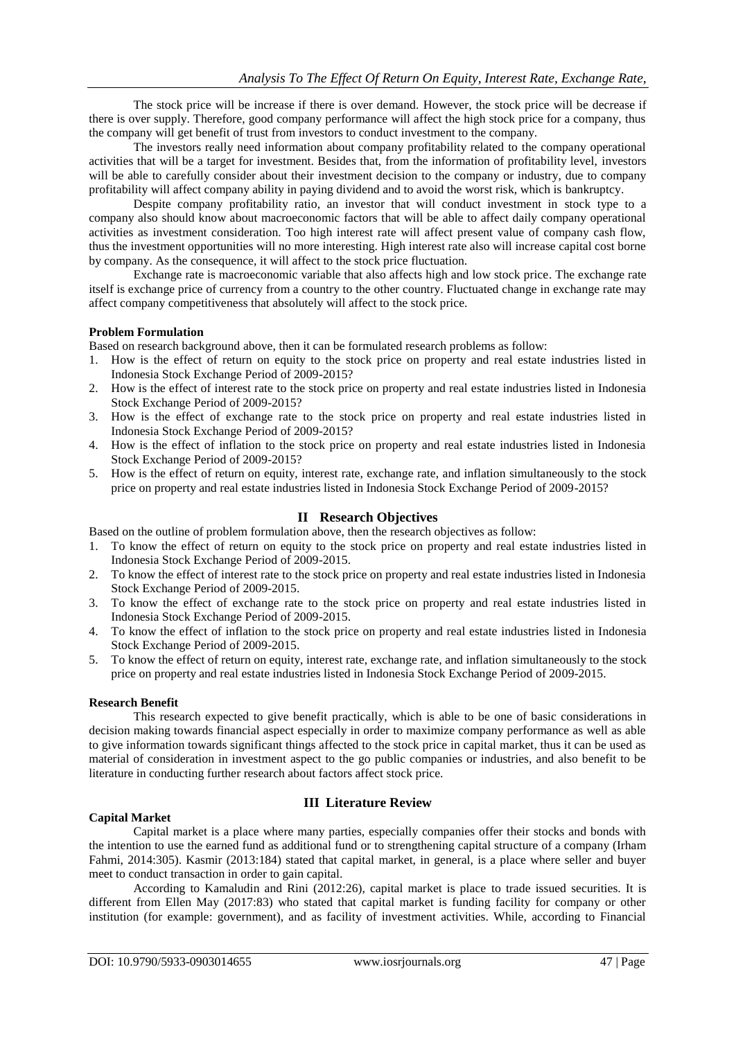The stock price will be increase if there is over demand. However, the stock price will be decrease if there is over supply. Therefore, good company performance will affect the high stock price for a company, thus the company will get benefit of trust from investors to conduct investment to the company.

The investors really need information about company profitability related to the company operational activities that will be a target for investment. Besides that, from the information of profitability level, investors will be able to carefully consider about their investment decision to the company or industry, due to company profitability will affect company ability in paying dividend and to avoid the worst risk, which is bankruptcy.

Despite company profitability ratio, an investor that will conduct investment in stock type to a company also should know about macroeconomic factors that will be able to affect daily company operational activities as investment consideration. Too high interest rate will affect present value of company cash flow, thus the investment opportunities will no more interesting. High interest rate also will increase capital cost borne by company. As the consequence, it will affect to the stock price fluctuation.

Exchange rate is macroeconomic variable that also affects high and low stock price. The exchange rate itself is exchange price of currency from a country to the other country. Fluctuated change in exchange rate may affect company competitiveness that absolutely will affect to the stock price.

#### **Problem Formulation**

Based on research background above, then it can be formulated research problems as follow:

- 1. How is the effect of return on equity to the stock price on property and real estate industries listed in Indonesia Stock Exchange Period of 2009-2015?
- 2. How is the effect of interest rate to the stock price on property and real estate industries listed in Indonesia Stock Exchange Period of 2009-2015?
- 3. How is the effect of exchange rate to the stock price on property and real estate industries listed in Indonesia Stock Exchange Period of 2009-2015?
- 4. How is the effect of inflation to the stock price on property and real estate industries listed in Indonesia Stock Exchange Period of 2009-2015?
- 5. How is the effect of return on equity, interest rate, exchange rate, and inflation simultaneously to the stock price on property and real estate industries listed in Indonesia Stock Exchange Period of 2009-2015?

### **II Research Objectives**

Based on the outline of problem formulation above, then the research objectives as follow:

- 1. To know the effect of return on equity to the stock price on property and real estate industries listed in Indonesia Stock Exchange Period of 2009-2015.
- 2. To know the effect of interest rate to the stock price on property and real estate industries listed in Indonesia Stock Exchange Period of 2009-2015.
- 3. To know the effect of exchange rate to the stock price on property and real estate industries listed in Indonesia Stock Exchange Period of 2009-2015.
- 4. To know the effect of inflation to the stock price on property and real estate industries listed in Indonesia Stock Exchange Period of 2009-2015.
- 5. To know the effect of return on equity, interest rate, exchange rate, and inflation simultaneously to the stock price on property and real estate industries listed in Indonesia Stock Exchange Period of 2009-2015.

## **Research Benefit**

This research expected to give benefit practically, which is able to be one of basic considerations in decision making towards financial aspect especially in order to maximize company performance as well as able to give information towards significant things affected to the stock price in capital market, thus it can be used as material of consideration in investment aspect to the go public companies or industries, and also benefit to be literature in conducting further research about factors affect stock price.

#### **Capital Market**

# **III Literature Review**

Capital market is a place where many parties, especially companies offer their stocks and bonds with the intention to use the earned fund as additional fund or to strengthening capital structure of a company (Irham Fahmi, 2014:305). Kasmir (2013:184) stated that capital market, in general, is a place where seller and buyer meet to conduct transaction in order to gain capital.

According to Kamaludin and Rini (2012:26), capital market is place to trade issued securities. It is different from Ellen May (2017:83) who stated that capital market is funding facility for company or other institution (for example: government), and as facility of investment activities. While, according to Financial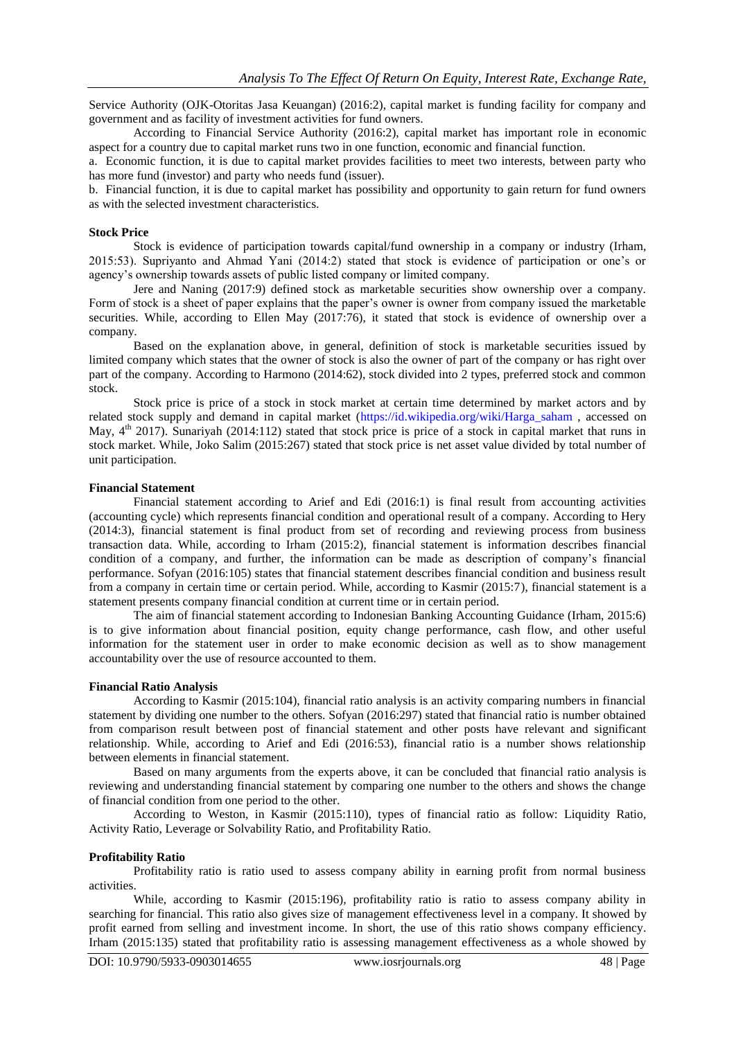Service Authority (OJK-Otoritas Jasa Keuangan) (2016:2), capital market is funding facility for company and government and as facility of investment activities for fund owners.

According to Financial Service Authority (2016:2), capital market has important role in economic aspect for a country due to capital market runs two in one function, economic and financial function.

a. Economic function, it is due to capital market provides facilities to meet two interests, between party who has more fund (investor) and party who needs fund (issuer).

b. Financial function, it is due to capital market has possibility and opportunity to gain return for fund owners as with the selected investment characteristics.

#### **Stock Price**

Stock is evidence of participation towards capital/fund ownership in a company or industry (Irham, 2015:53). Supriyanto and Ahmad Yani (2014:2) stated that stock is evidence of participation or one's or agency's ownership towards assets of public listed company or limited company.

Jere and Naning (2017:9) defined stock as marketable securities show ownership over a company. Form of stock is a sheet of paper explains that the paper's owner is owner from company issued the marketable securities. While, according to Ellen May (2017:76), it stated that stock is evidence of ownership over a company.

Based on the explanation above, in general, definition of stock is marketable securities issued by limited company which states that the owner of stock is also the owner of part of the company or has right over part of the company. According to Harmono (2014:62), stock divided into 2 types, preferred stock and common stock.

Stock price is price of a stock in stock market at certain time determined by market actors and by related stock supply and demand in capital market [\(https://id.w](https://id.wikipedia.org/wiki/Harga_saham)ikipedi[a.o](https://id.wikipedia.org/wiki/Harga_saham)r[g/w](https://id.wikipedia.org/wiki/Harga_saham)ik[i/H](https://id.wikipedia.org/wiki/Harga_saham)arg[a\\_saham](https://id.wikipedia.org/wiki/Harga_saham) , accessed on May,  $4<sup>th</sup>$  2017). Sunariyah (2014:112) stated that stock price is price of a stock in capital market that runs in stock market. While, Joko Salim (2015:267) stated that stock price is net asset value divided by total number of unit participation.

#### **Financial Statement**

Financial statement according to Arief and Edi (2016:1) is final result from accounting activities (accounting cycle) which represents financial condition and operational result of a company. According to Hery (2014:3), financial statement is final product from set of recording and reviewing process from business transaction data. While, according to Irham (2015:2), financial statement is information describes financial condition of a company, and further, the information can be made as description of company's financial performance. Sofyan (2016:105) states that financial statement describes financial condition and business result from a company in certain time or certain period. While, according to Kasmir (2015:7), financial statement is a statement presents company financial condition at current time or in certain period.

The aim of financial statement according to Indonesian Banking Accounting Guidance (Irham, 2015:6) is to give information about financial position, equity change performance, cash flow, and other useful information for the statement user in order to make economic decision as well as to show management accountability over the use of resource accounted to them.

#### **Financial Ratio Analysis**

According to Kasmir (2015:104), financial ratio analysis is an activity comparing numbers in financial statement by dividing one number to the others. Sofyan (2016:297) stated that financial ratio is number obtained from comparison result between post of financial statement and other posts have relevant and significant relationship. While, according to Arief and Edi (2016:53), financial ratio is a number shows relationship between elements in financial statement.

Based on many arguments from the experts above, it can be concluded that financial ratio analysis is reviewing and understanding financial statement by comparing one number to the others and shows the change of financial condition from one period to the other.

According to Weston, in Kasmir (2015:110), types of financial ratio as follow: Liquidity Ratio, Activity Ratio, Leverage or Solvability Ratio, and Profitability Ratio.

#### **Profitability Ratio**

Profitability ratio is ratio used to assess company ability in earning profit from normal business activities.

While, according to Kasmir (2015:196), profitability ratio is ratio to assess company ability in searching for financial. This ratio also gives size of management effectiveness level in a company. It showed by profit earned from selling and investment income. In short, the use of this ratio shows company efficiency. Irham (2015:135) stated that profitability ratio is assessing management effectiveness as a whole showed by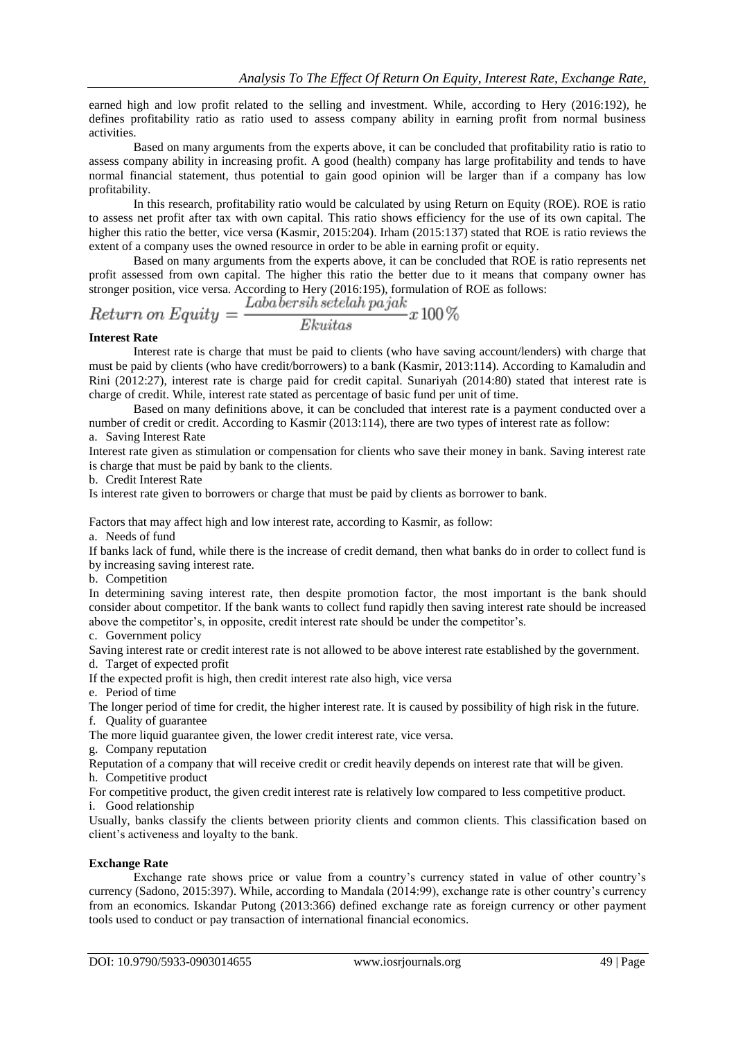earned high and low profit related to the selling and investment. While, according to Hery (2016:192), he defines profitability ratio as ratio used to assess company ability in earning profit from normal business activities.

Based on many arguments from the experts above, it can be concluded that profitability ratio is ratio to assess company ability in increasing profit. A good (health) company has large profitability and tends to have normal financial statement, thus potential to gain good opinion will be larger than if a company has low profitability.

In this research, profitability ratio would be calculated by using Return on Equity (ROE). ROE is ratio to assess net profit after tax with own capital. This ratio shows efficiency for the use of its own capital. The higher this ratio the better, vice versa (Kasmir, 2015:204). Irham (2015:137) stated that ROE is ratio reviews the extent of a company uses the owned resource in order to be able in earning profit or equity.

Based on many arguments from the experts above, it can be concluded that ROE is ratio represents net profit assessed from own capital. The higher this ratio the better due to it means that company owner has stronger position, vice versa. According to Hery (2016:195), formulation of ROE as follows:

$$
Return on Equity = \frac{Label to result a \cdot 100\%}{Ekuitas} x 100\%
$$

#### **Interest Rate**

Interest rate is charge that must be paid to clients (who have saving account/lenders) with charge that must be paid by clients (who have credit/borrowers) to a bank (Kasmir, 2013:114). According to Kamaludin and Rini (2012:27), interest rate is charge paid for credit capital. Sunariyah (2014:80) stated that interest rate is charge of credit. While, interest rate stated as percentage of basic fund per unit of time.

Based on many definitions above, it can be concluded that interest rate is a payment conducted over a number of credit or credit. According to Kasmir (2013:114), there are two types of interest rate as follow:

a. Saving Interest Rate

Interest rate given as stimulation or compensation for clients who save their money in bank. Saving interest rate is charge that must be paid by bank to the clients.

b. Credit Interest Rate

Is interest rate given to borrowers or charge that must be paid by clients as borrower to bank.

Factors that may affect high and low interest rate, according to Kasmir, as follow:

a. Needs of fund

If banks lack of fund, while there is the increase of credit demand, then what banks do in order to collect fund is by increasing saving interest rate.

b. Competition

In determining saving interest rate, then despite promotion factor, the most important is the bank should consider about competitor. If the bank wants to collect fund rapidly then saving interest rate should be increased above the competitor's, in opposite, credit interest rate should be under the competitor's.

c. Government policy

Saving interest rate or credit interest rate is not allowed to be above interest rate established by the government. d. Target of expected profit

If the expected profit is high, then credit interest rate also high, vice versa

e. Period of time

The longer period of time for credit, the higher interest rate. It is caused by possibility of high risk in the future. f. Quality of guarantee

The more liquid guarantee given, the lower credit interest rate, vice versa.

g. Company reputation

Reputation of a company that will receive credit or credit heavily depends on interest rate that will be given. h. Competitive product

For competitive product, the given credit interest rate is relatively low compared to less competitive product. i. Good relationship

Usually, banks classify the clients between priority clients and common clients. This classification based on client's activeness and loyalty to the bank.

## **Exchange Rate**

Exchange rate shows price or value from a country's currency stated in value of other country's currency (Sadono, 2015:397). While, according to Mandala (2014:99), exchange rate is other country's currency from an economics. Iskandar Putong (2013:366) defined exchange rate as foreign currency or other payment tools used to conduct or pay transaction of international financial economics.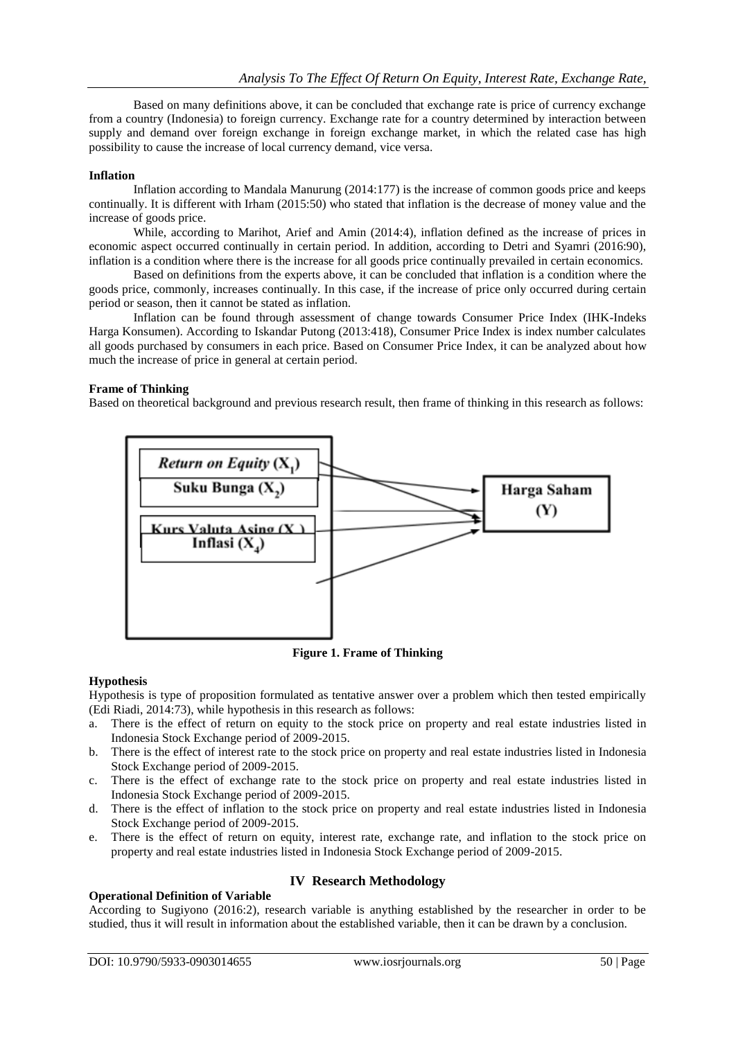Based on many definitions above, it can be concluded that exchange rate is price of currency exchange from a country (Indonesia) to foreign currency. Exchange rate for a country determined by interaction between supply and demand over foreign exchange in foreign exchange market, in which the related case has high possibility to cause the increase of local currency demand, vice versa.

#### **Inflation**

Inflation according to Mandala Manurung (2014:177) is the increase of common goods price and keeps continually. It is different with Irham (2015:50) who stated that inflation is the decrease of money value and the increase of goods price.

While, according to Marihot, Arief and Amin (2014:4), inflation defined as the increase of prices in economic aspect occurred continually in certain period. In addition, according to Detri and Syamri (2016:90), inflation is a condition where there is the increase for all goods price continually prevailed in certain economics.

Based on definitions from the experts above, it can be concluded that inflation is a condition where the goods price, commonly, increases continually. In this case, if the increase of price only occurred during certain period or season, then it cannot be stated as inflation.

Inflation can be found through assessment of change towards Consumer Price Index (IHK-Indeks Harga Konsumen). According to Iskandar Putong (2013:418), Consumer Price Index is index number calculates all goods purchased by consumers in each price. Based on Consumer Price Index, it can be analyzed about how much the increase of price in general at certain period.

## **Frame of Thinking**

Based on theoretical background and previous research result, then frame of thinking in this research as follows:



**Figure 1. Frame of Thinking**

## **Hypothesis**

Hypothesis is type of proposition formulated as tentative answer over a problem which then tested empirically (Edi Riadi, 2014:73), while hypothesis in this research as follows:

- a. There is the effect of return on equity to the stock price on property and real estate industries listed in Indonesia Stock Exchange period of 2009-2015.
- b. There is the effect of interest rate to the stock price on property and real estate industries listed in Indonesia Stock Exchange period of 2009-2015.
- c. There is the effect of exchange rate to the stock price on property and real estate industries listed in Indonesia Stock Exchange period of 2009-2015.
- d. There is the effect of inflation to the stock price on property and real estate industries listed in Indonesia Stock Exchange period of 2009-2015.
- e. There is the effect of return on equity, interest rate, exchange rate, and inflation to the stock price on property and real estate industries listed in Indonesia Stock Exchange period of 2009-2015.

# **Operational Definition of Variable**

# **IV Research Methodology**

According to Sugiyono (2016:2), research variable is anything established by the researcher in order to be studied, thus it will result in information about the established variable, then it can be drawn by a conclusion.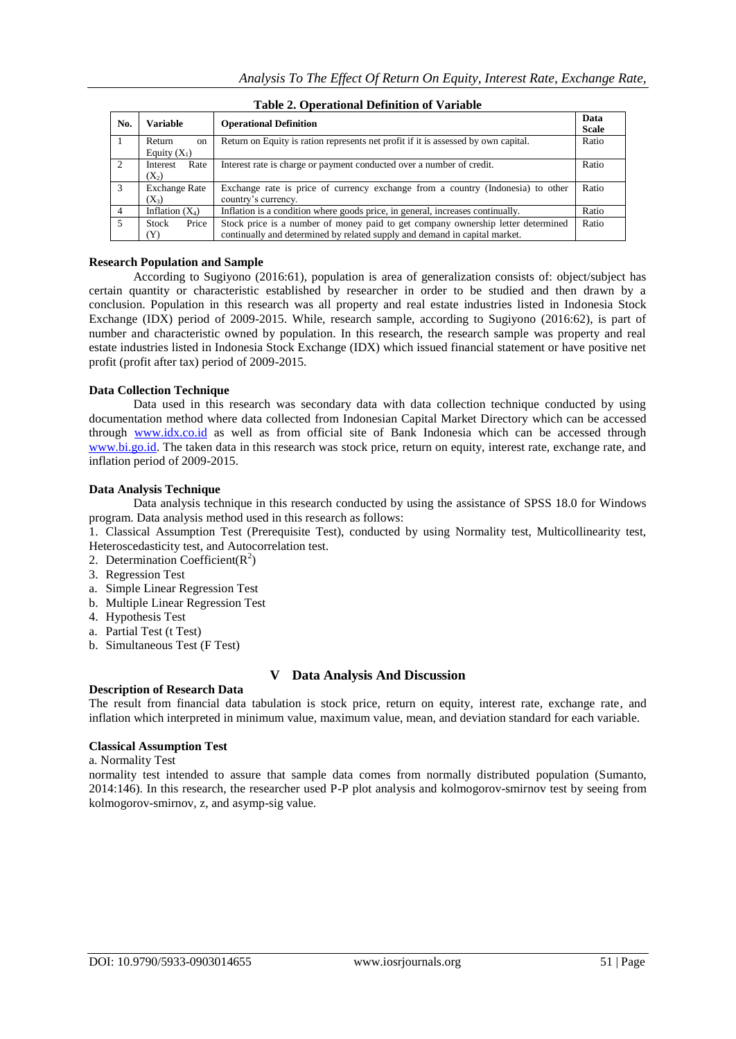| No.            | <b>Variable</b>                                                                           | <b>Operational Definition</b>                                                      |       |  |  |  |
|----------------|-------------------------------------------------------------------------------------------|------------------------------------------------------------------------------------|-------|--|--|--|
|                | Return<br>on                                                                              | Return on Equity is ration represents net profit if it is assessed by own capital. | Ratio |  |  |  |
|                | Equity $(X_1)$                                                                            |                                                                                    |       |  |  |  |
| $\overline{2}$ | Interest rate is charge or payment conducted over a number of credit.<br>Rate<br>Interest |                                                                                    | Ratio |  |  |  |
|                | $(X_2)$                                                                                   |                                                                                    |       |  |  |  |
| $\mathcal{R}$  | <b>Exchange Rate</b>                                                                      | Exchange rate is price of currency exchange from a country (Indonesia) to other    | Ratio |  |  |  |
|                | $(X_3)$                                                                                   | country's currency.                                                                |       |  |  |  |
| 4              | Inflation $(X_4)$                                                                         | Inflation is a condition where goods price, in general, increases continually.     | Ratio |  |  |  |
|                | Price<br><b>Stock</b>                                                                     | Stock price is a number of money paid to get company ownership letter determined   | Ratio |  |  |  |
|                | Y)                                                                                        | continually and determined by related supply and demand in capital market.         |       |  |  |  |

# **Table 2. Operational Definition of Variable**

#### **Research Population and Sample**

According to Sugiyono (2016:61), population is area of generalization consists of: object/subject has certain quantity or characteristic established by researcher in order to be studied and then drawn by a conclusion. Population in this research was all property and real estate industries listed in Indonesia Stock Exchange (IDX) period of 2009-2015. While, research sample, according to Sugiyono (2016:62), is part of number and characteristic owned by population. In this research, the research sample was property and real estate industries listed in Indonesia Stock Exchange (IDX) which issued financial statement or have positive net profit (profit after tax) period of 2009-2015.

## **Data Collection Technique**

Data used in this research was secondary data with data collection technique conducted by using documentation method where data collected from Indonesian Capital Market Directory which can be accessed through [www.i](http://www.idx.co.id/)d[x.co.id](http://www.idx.co.id/) as well as from official site of Bank Indonesia which can be accessed through [www.bi.go.id.](http://www.bi.go.id/) The taken data in this research was stock price, return on equity, interest rate, exchange rate, and inflation period of 2009-2015.

#### **Data Analysis Technique**

Data analysis technique in this research conducted by using the assistance of SPSS 18.0 for Windows program. Data analysis method used in this research as follows:

1. Classical Assumption Test (Prerequisite Test), conducted by using Normality test, Multicollinearity test, Heteroscedasticity test, and Autocorrelation test.

- 2. Determination Coefficient( $R^2$ )
- 3. Regression Test
- a. Simple Linear Regression Test
- b. Multiple Linear Regression Test
- 4. Hypothesis Test
- a. Partial Test (t Test)
- b. Simultaneous Test (F Test)

## **V Data Analysis And Discussion**

#### **Description of Research Data**

The result from financial data tabulation is stock price, return on equity, interest rate, exchange rate, and inflation which interpreted in minimum value, maximum value, mean, and deviation standard for each variable.

## **Classical Assumption Test**

a. Normality Test

normality test intended to assure that sample data comes from normally distributed population (Sumanto, 2014:146). In this research, the researcher used P-P plot analysis and kolmogorov-smirnov test by seeing from kolmogorov-smirnov, z, and asymp-sig value.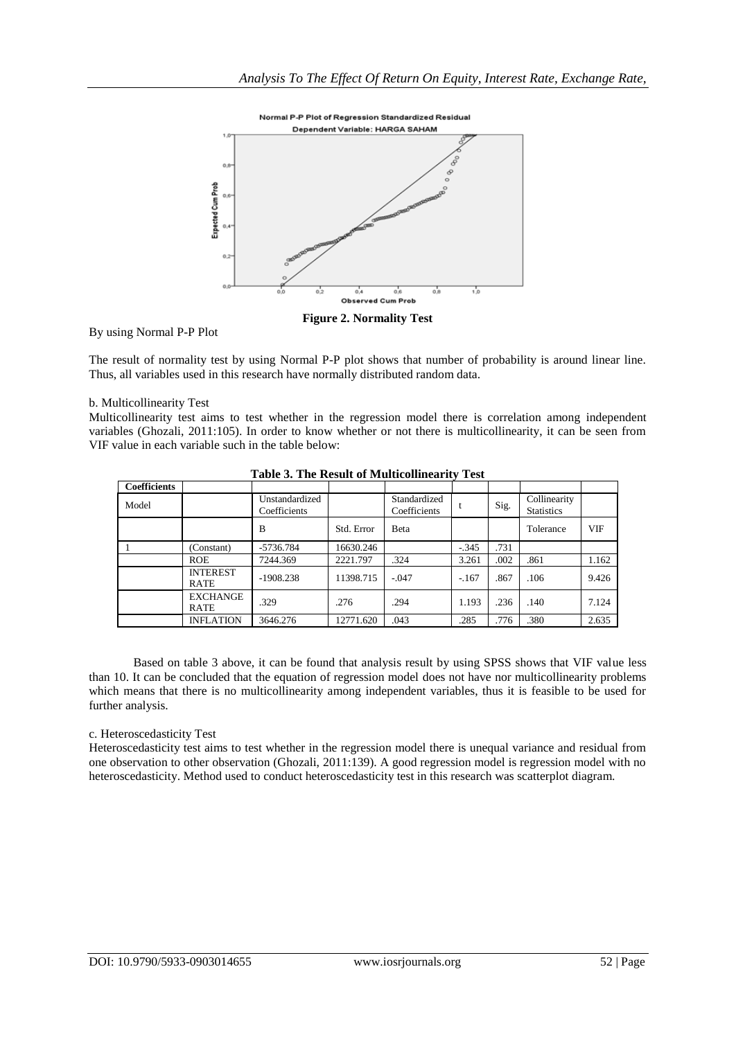

**Figure 2. Normality Test**

By using Normal P-P Plot

The result of normality test by using Normal P-P plot shows that number of probability is around linear line. Thus, all variables used in this research have normally distributed random data.

#### b. Multicollinearity Test

Multicollinearity test aims to test whether in the regression model there is correlation among independent variables (Ghozali, 2011:105). In order to know whether or not there is multicollinearity, it can be seen from VIF value in each variable such in the table below:

| <b>Coefficients</b> |                         |                                |            |                              |         |      |                                   |            |
|---------------------|-------------------------|--------------------------------|------------|------------------------------|---------|------|-----------------------------------|------------|
| Model               |                         | Unstandardized<br>Coefficients |            | Standardized<br>Coefficients |         | Sig. | Collinearity<br><b>Statistics</b> |            |
|                     |                         | B                              | Std. Error | <b>B</b> eta                 |         |      | Tolerance                         | <b>VIF</b> |
|                     | (Constant)              | -5736.784                      | 16630.246  |                              | $-.345$ | .731 |                                   |            |
|                     | <b>ROE</b>              | 7244.369                       | 2221.797   | .324                         | 3.261   | .002 | .861                              | 1.162      |
|                     | <b>INTEREST</b><br>RATE | $-1908.238$                    | 11398.715  | $-.047$                      | $-167$  | .867 | .106                              | 9.426      |
|                     | <b>EXCHANGE</b><br>RATE | .329                           | .276       | .294                         | 1.193   | .236 | .140                              | 7.124      |
|                     | <b>INFLATION</b>        | 3646.276                       | 12771.620  | .043                         | .285    | .776 | .380                              | 2.635      |

**Table 3. The Result of Multicollinearity Test**

Based on table 3 above, it can be found that analysis result by using SPSS shows that VIF value less than 10. It can be concluded that the equation of regression model does not have nor multicollinearity problems which means that there is no multicollinearity among independent variables, thus it is feasible to be used for further analysis.

#### c. Heteroscedasticity Test

Heteroscedasticity test aims to test whether in the regression model there is unequal variance and residual from one observation to other observation (Ghozali, 2011:139). A good regression model is regression model with no heteroscedasticity. Method used to conduct heteroscedasticity test in this research was scatterplot diagram.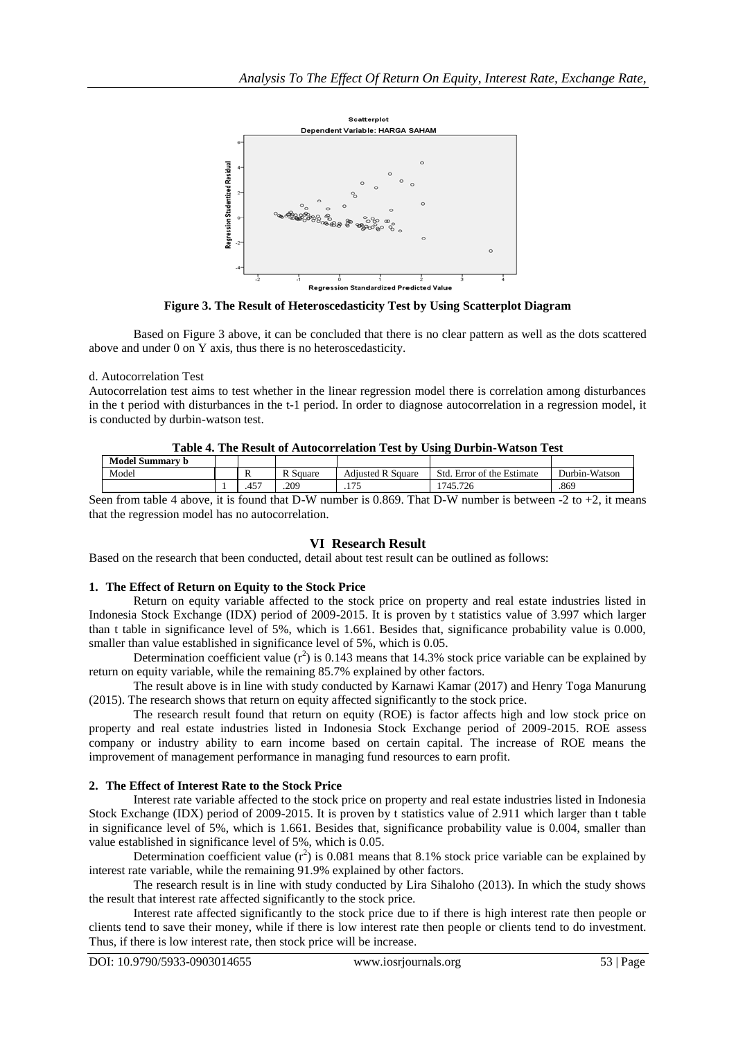

**Figure 3. The Result of Heteroscedasticity Test by Using Scatterplot Diagram**

Based on Figure 3 above, it can be concluded that there is no clear pattern as well as the dots scattered above and under 0 on Y axis, thus there is no heteroscedasticity.

#### d. Autocorrelation Test

Autocorrelation test aims to test whether in the linear regression model there is correlation among disturbances in the t period with disturbances in the t-1 period. In order to diagnose autocorrelation in a regression model, it is conducted by durbin-watson test.

| Table 4. The Result of Autocorrelation Test by Using Durbin-Watson Test |  |  |          |                          |                            |               |  |
|-------------------------------------------------------------------------|--|--|----------|--------------------------|----------------------------|---------------|--|
| <b>Model Summary b</b>                                                  |  |  |          |                          |                            |               |  |
| Model                                                                   |  |  | R Square | <b>Adjusted R Square</b> | Std. Error of the Estimate | Durbin-Watson |  |
|                                                                         |  |  | 209      |                          | 1745.726                   | .869          |  |

**Table 4. The Result of Autocorrelation Test by Using Durbin-Watson Test**

Seen from table 4 above, it is found that D-W number is 0.869. That D-W number is between -2 to +2, it means that the regression model has no autocorrelation.

## **VI Research Result**

Based on the research that been conducted, detail about test result can be outlined as follows:

## **1. The Effect of Return on Equity to the Stock Price**

Return on equity variable affected to the stock price on property and real estate industries listed in Indonesia Stock Exchange (IDX) period of 2009-2015. It is proven by t statistics value of 3.997 which larger than t table in significance level of 5%, which is 1.661. Besides that, significance probability value is 0.000, smaller than value established in significance level of 5%, which is 0.05.

Determination coefficient value  $(r^2)$  is 0.143 means that 14.3% stock price variable can be explained by return on equity variable, while the remaining 85.7% explained by other factors.

The result above is in line with study conducted by Karnawi Kamar (2017) and Henry Toga Manurung (2015). The research shows that return on equity affected significantly to the stock price.

The research result found that return on equity (ROE) is factor affects high and low stock price on property and real estate industries listed in Indonesia Stock Exchange period of 2009-2015. ROE assess company or industry ability to earn income based on certain capital. The increase of ROE means the improvement of management performance in managing fund resources to earn profit.

## **2. The Effect of Interest Rate to the Stock Price**

Interest rate variable affected to the stock price on property and real estate industries listed in Indonesia Stock Exchange (IDX) period of 2009-2015. It is proven by t statistics value of 2.911 which larger than t table in significance level of 5%, which is 1.661. Besides that, significance probability value is 0.004, smaller than value established in significance level of 5%, which is 0.05.

Determination coefficient value  $(r^2)$  is 0.081 means that 8.1% stock price variable can be explained by interest rate variable, while the remaining 91.9% explained by other factors.

The research result is in line with study conducted by Lira Sihaloho (2013). In which the study shows the result that interest rate affected significantly to the stock price.

Interest rate affected significantly to the stock price due to if there is high interest rate then people or clients tend to save their money, while if there is low interest rate then people or clients tend to do investment. Thus, if there is low interest rate, then stock price will be increase.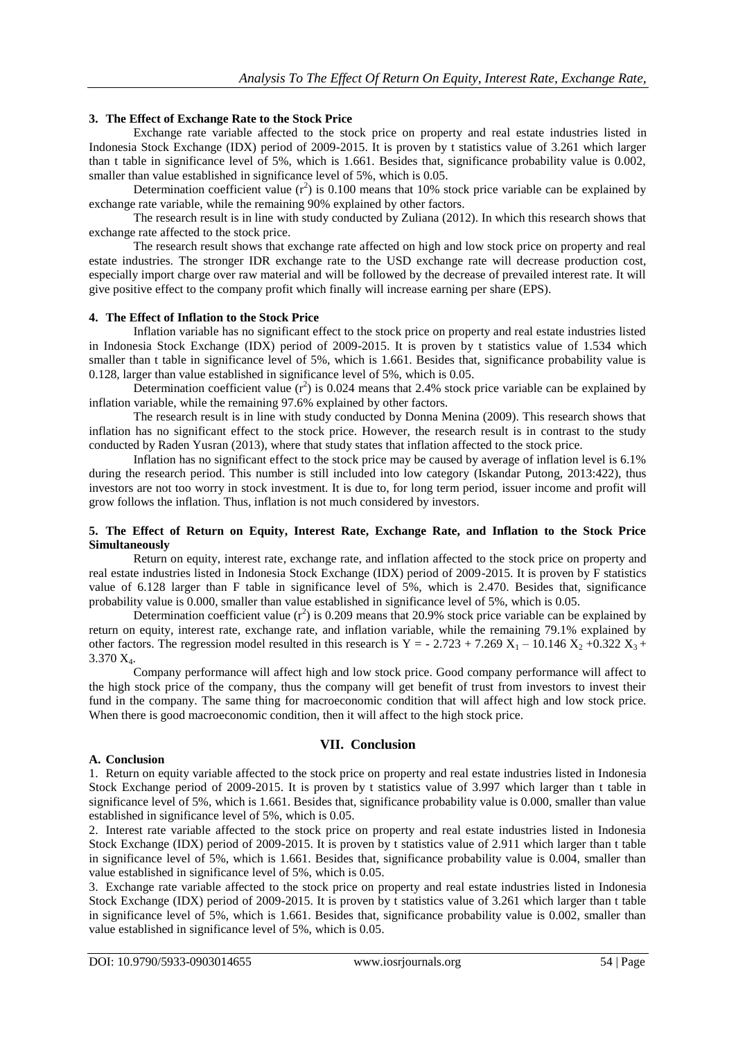## **3. The Effect of Exchange Rate to the Stock Price**

Exchange rate variable affected to the stock price on property and real estate industries listed in Indonesia Stock Exchange (IDX) period of 2009-2015. It is proven by t statistics value of 3.261 which larger than t table in significance level of 5%, which is 1.661. Besides that, significance probability value is 0.002, smaller than value established in significance level of 5%, which is 0.05.

Determination coefficient value  $(r^2)$  is 0.100 means that 10% stock price variable can be explained by exchange rate variable, while the remaining 90% explained by other factors.

The research result is in line with study conducted by Zuliana (2012). In which this research shows that exchange rate affected to the stock price.

The research result shows that exchange rate affected on high and low stock price on property and real estate industries. The stronger IDR exchange rate to the USD exchange rate will decrease production cost, especially import charge over raw material and will be followed by the decrease of prevailed interest rate. It will give positive effect to the company profit which finally will increase earning per share (EPS).

#### **4. The Effect of Inflation to the Stock Price**

Inflation variable has no significant effect to the stock price on property and real estate industries listed in Indonesia Stock Exchange (IDX) period of 2009-2015. It is proven by t statistics value of 1.534 which smaller than t table in significance level of 5%, which is 1.661. Besides that, significance probability value is 0.128, larger than value established in significance level of 5%, which is 0.05.

Determination coefficient value  $(r^2)$  is 0.024 means that 2.4% stock price variable can be explained by inflation variable, while the remaining 97.6% explained by other factors.

The research result is in line with study conducted by Donna Menina (2009). This research shows that inflation has no significant effect to the stock price. However, the research result is in contrast to the study conducted by Raden Yusran (2013), where that study states that inflation affected to the stock price.

Inflation has no significant effect to the stock price may be caused by average of inflation level is 6.1% during the research period. This number is still included into low category (Iskandar Putong, 2013:422), thus investors are not too worry in stock investment. It is due to, for long term period, issuer income and profit will grow follows the inflation. Thus, inflation is not much considered by investors.

#### **5. The Effect of Return on Equity, Interest Rate, Exchange Rate, and Inflation to the Stock Price Simultaneously**

Return on equity, interest rate, exchange rate, and inflation affected to the stock price on property and real estate industries listed in Indonesia Stock Exchange (IDX) period of 2009-2015. It is proven by F statistics value of 6.128 larger than F table in significance level of 5%, which is 2.470. Besides that, significance probability value is 0.000, smaller than value established in significance level of 5%, which is 0.05.

Determination coefficient value  $(r^2)$  is 0.209 means that 20.9% stock price variable can be explained by return on equity, interest rate, exchange rate, and inflation variable, while the remaining 79.1% explained by other factors. The regression model resulted in this research is Y = -2.723 + 7.269 X<sub>1</sub> – 10.146 X<sub>2</sub> +0.322 X<sub>3</sub> + 3.370 X4.

Company performance will affect high and low stock price. Good company performance will affect to the high stock price of the company, thus the company will get benefit of trust from investors to invest their fund in the company. The same thing for macroeconomic condition that will affect high and low stock price. When there is good macroeconomic condition, then it will affect to the high stock price.

#### **A. Conclusion**

## **VII. Conclusion**

1. Return on equity variable affected to the stock price on property and real estate industries listed in Indonesia Stock Exchange period of 2009-2015. It is proven by t statistics value of 3.997 which larger than t table in significance level of 5%, which is 1.661. Besides that, significance probability value is 0.000, smaller than value established in significance level of 5%, which is 0.05.

2. Interest rate variable affected to the stock price on property and real estate industries listed in Indonesia Stock Exchange (IDX) period of 2009-2015. It is proven by t statistics value of 2.911 which larger than t table in significance level of 5%, which is 1.661. Besides that, significance probability value is 0.004, smaller than value established in significance level of 5%, which is 0.05.

3. Exchange rate variable affected to the stock price on property and real estate industries listed in Indonesia Stock Exchange (IDX) period of 2009-2015. It is proven by t statistics value of 3.261 which larger than t table in significance level of 5%, which is 1.661. Besides that, significance probability value is 0.002, smaller than value established in significance level of 5%, which is 0.05.